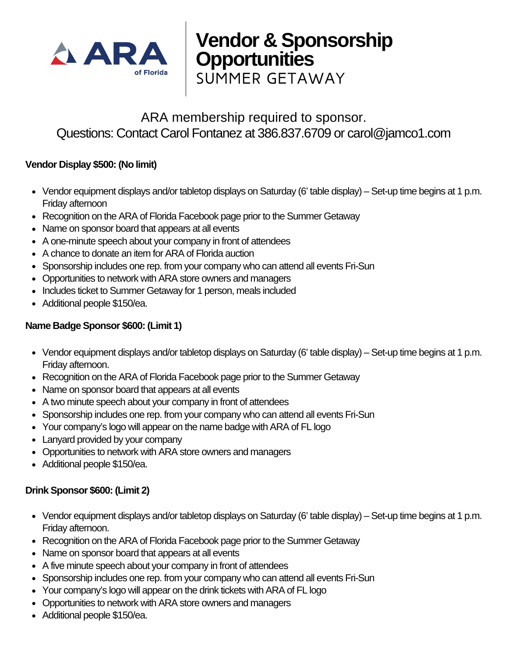

# **Vendor & Sponsorship Opportunities**

SUMMER GETAWAY

# ARA membership required to sponsor. Questions: Contact Carol Fontanez at 386.837.6709 or carol@jamco1.com

## **Vendor Display \$500: (No limit)**

- Vendor equipment displays and/or tabletop displays on Saturday (6' table display) Set-up time begins at 1 p.m. Friday afternoon
- Recognition on the ARA of Florida Facebook page prior to the Summer Getaway
- Name on sponsor board that appears at all events
- A one-minute speech about your company in front of attendees
- A chance to donate an item for ARA of Florida auction
- Sponsorship includes one rep. from your company who can attend all events Fri-Sun
- Opportunities to network with ARA store owners and managers
- Includes ticket to Summer Getaway for 1 person, meals included
- Additional people \$150/ea.

## **Name Badge Sponsor \$600: (Limit 1)**

- Vendor equipment displays and/or tabletop displays on Saturday (6' table display) Set-up time begins at 1 p.m. Friday afternoon.
- Recognition on the ARA of Florida Facebook page prior to the Summer Getaway
- Name on sponsor board that appears at all events
- A two minute speech about your company in front of attendees
- Sponsorship includes one rep. from your company who can attend all events Fri-Sun
- Your company's logo will appear on the name badge with ARA of FL logo
- Lanyard provided by your company
- Opportunities to network with ARA store owners and managers
- Additional people \$150/ea.

## **Drink Sponsor \$600: (Limit 2)**

- Vendor equipment displays and/or tabletop displays on Saturday (6' table display) Set-up time begins at 1 p.m. Friday afternoon.
- Recognition on the ARA of Florida Facebook page prior to the Summer Getaway
- Name on sponsor board that appears at all events
- A five minute speech about your company in front of attendees
- Sponsorship includes one rep. from your company who can attend all events Fri-Sun
- Your company's logo will appear on the drink tickets with ARA of FL logo
- Opportunities to network with ARA store owners and managers
- Additional people \$150/ea.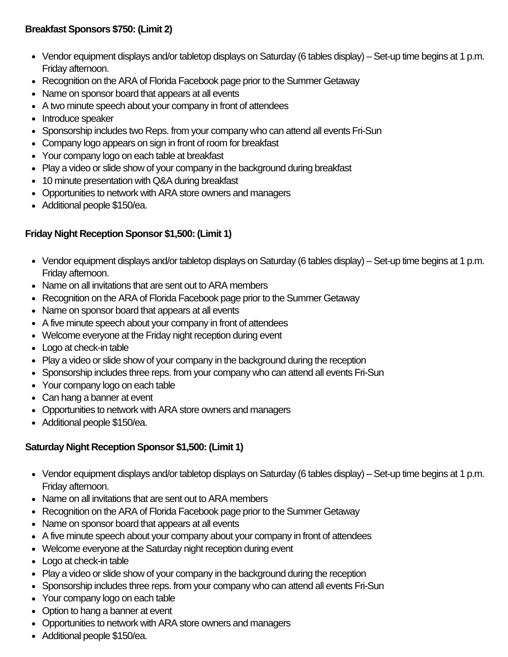#### **Breakfast Sponsors \$750: (Limit 2)**

- Vendor equipment displays and/or tabletop displays on Saturday (6 tables display) Set-up time begins at 1 p.m. Friday afternoon.
- Recognition on the ARA of Florida Facebook page prior to the Summer Getaway
- Name on sponsor board that appears at all events
- A two minute speech about your company in front of attendees
- Introduce speaker
- Sponsorship includes two Reps. from your company who can attend all events Fri-Sun
- Company logo appears on sign in front of room for breakfast
- Your company logo on each table at breakfast
- Play a video or slide show of your company in the background during breakfast
- 10 minute presentation with O&A during breakfast
- Opportunities to network with ARA store owners and managers
- Additional people \$150/ea.

## **Friday Night Reception Sponsor \$1,500: (Limit 1)**

- Vendor equipment displays and/or tabletop displays on Saturday (6 tables display) Set-up time begins at 1 p.m. Friday afternoon.
- Name on all invitations that are sent out to ARA members
- Recognition on the ARA of Florida Facebook page prior to the Summer Getaway
- Name on sponsor board that appears at all events
- A five minute speech about your company in front of attendees
- Welcome everyone at the Friday night reception during event
- Logo at check-in table
- Play a video or slide show of your company in the background during the reception
- Sponsorship includes three reps. from your company who can attend all events Fri-Sun
- Your company logo on each table
- Can hang a banner at event
- Opportunities to network with ARA store owners and managers
- Additional people \$150/ea.

## **Saturday Night Reception Sponsor \$1,500: (Limit 1)**

- Vendor equipment displays and/or tabletop displays on Saturday (6 tables display) Set-up time begins at 1 p.m. Friday afternoon.
- Name on all invitations that are sent out to ARA members
- Recognition on the ARA of Florida Facebook page prior to the Summer Getaway
- Name on sponsor board that appears at all events
- A five minute speech about your company about your company in front of attendees
- Welcome everyone at the Saturday night reception during event
- Logo at check-in table
- Play a video or slide show of your company in the background during the reception
- Sponsorship includes three reps. from your company who can attend all events Fri-Sun
- Your company logo on each table
- Option to hang a banner at event
- Opportunities to network with ARA store owners and managers
- Additional people \$150/ea.